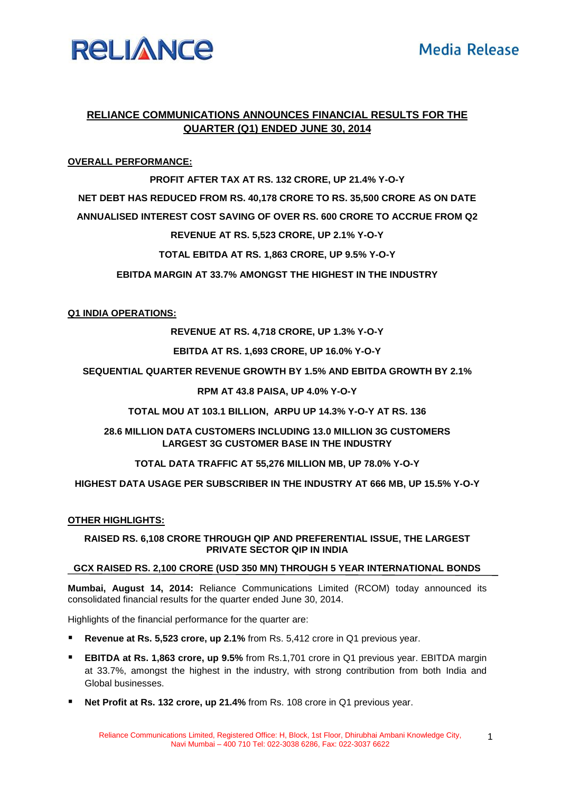

# **RELIANCE COMMUNICATIONS ANNOUNCES FINANCIAL RESULTS FOR THE QUARTER (Q1) ENDED JUNE 30, 2014**

# **OVERALL PERFORMANCE:**

#### **PROFIT AFTER TAX AT RS. 132 CRORE, UP 21.4% Y-O-Y**

**NET DEBT HAS REDUCED FROM RS. 40,178 CRORE TO RS. 35,500 CRORE AS ON DATE**

**ANNUALISED INTEREST COST SAVING OF OVER RS. 600 CRORE TO ACCRUE FROM Q2**

# **REVENUE AT RS. 5,523 CRORE, UP 2.1% Y-O-Y**

**TOTAL EBITDA AT RS. 1,863 CRORE, UP 9.5% Y-O-Y**

**EBITDA MARGIN AT 33.7% AMONGST THE HIGHEST IN THE INDUSTRY**

## **Q1 INDIA OPERATIONS:**

**REVENUE AT RS. 4,718 CRORE, UP 1.3% Y-O-Y**

## **EBITDA AT RS. 1,693 CRORE, UP 16.0% Y-O-Y**

**SEQUENTIAL QUARTER REVENUE GROWTH BY 1.5% AND EBITDA GROWTH BY 2.1%**

## **RPM AT 43.8 PAISA, UP 4.0% Y-O-Y**

**TOTAL MOU AT 103.1 BILLION, ARPU UP 14.3% Y-O-Y AT RS. 136**

**28.6 MILLION DATA CUSTOMERS INCLUDING 13.0 MILLION 3G CUSTOMERS LARGEST 3G CUSTOMER BASE IN THE INDUSTRY**

**TOTAL DATA TRAFFIC AT 55,276 MILLION MB, UP 78.0% Y-O-Y**

**HIGHEST DATA USAGE PER SUBSCRIBER IN THE INDUSTRY AT 666 MB, UP 15.5% Y-O-Y**

## **OTHER HIGHLIGHTS:**

**RAISED RS. 6,108 CRORE THROUGH QIP AND PREFERENTIAL ISSUE, THE LARGEST PRIVATE SECTOR QIP IN INDIA**

## **GCX RAISED RS. 2,100 CRORE (USD 350 MN) THROUGH 5 YEAR INTERNATIONAL BONDS**

**Mumbai, August 14, 2014:** Reliance Communications Limited (RCOM) today announced its consolidated financial results for the quarter ended June 30, 2014.

Highlights of the financial performance for the quarter are:

- **Revenue at Rs. 5,523 crore, up 2.1%** from Rs. 5,412 crore in Q1 previous year.
- **EBITDA at Rs. 1,863 crore, up 9.5%** from Rs.1,701 crore in Q1 previous year. EBITDA margin at 33.7%, amongst the highest in the industry, with strong contribution from both India and Global businesses.
- **Net Profit at Rs. 132 crore, up 21.4%** from Rs. 108 crore in Q1 previous year.

1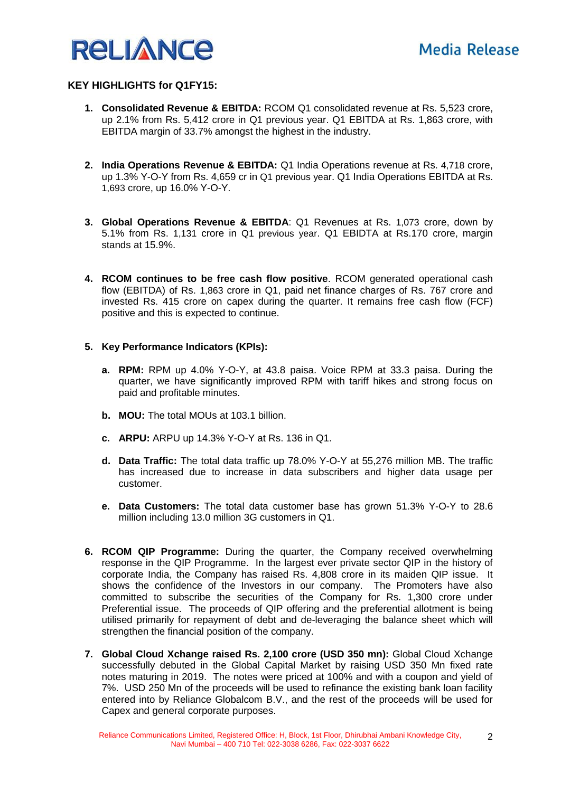

2

## **KEY HIGHLIGHTS for Q1FY15:**

- **1. Consolidated Revenue & EBITDA:** RCOM Q1 consolidated revenue at Rs. 5,523 crore, up 2.1% from Rs. 5,412 crore in Q1 previous year. Q1 EBITDA at Rs. 1,863 crore, with EBITDA margin of 33.7% amongst the highest in the industry.
- **2. India Operations Revenue & EBITDA:** Q1 India Operations revenue at Rs. 4,718 crore, up 1.3% Y-O-Y from Rs. 4,659 cr in Q1 previous year. Q1 India Operations EBITDA at Rs. 1,693 crore, up 16.0% Y-O-Y.
- **3. Global Operations Revenue & EBITDA**: Q1 Revenues at Rs. 1,073 crore, down by 5.1% from Rs. 1,131 crore in Q1 previous year. Q1 EBIDTA at Rs.170 crore, margin stands at 15.9%.
- **4. RCOM continues to be free cash flow positive**. RCOM generated operational cash flow (EBITDA) of Rs. 1,863 crore in Q1, paid net finance charges of Rs. 767 crore and invested Rs. 415 crore on capex during the quarter. It remains free cash flow (FCF) positive and this is expected to continue.

## **5. Key Performance Indicators (KPIs):**

- **a. RPM:** RPM up 4.0% Y-O-Y, at 43.8 paisa. Voice RPM at 33.3 paisa. During the quarter, we have significantly improved RPM with tariff hikes and strong focus on paid and profitable minutes.
- **b. MOU:** The total MOUs at 103.1 billion.
- **c. ARPU:** ARPU up 14.3% Y-O-Y at Rs. 136 in Q1.
- **d. Data Traffic:** The total data traffic up 78.0% Y-O-Y at 55,276 million MB. The traffic has increased due to increase in data subscribers and higher data usage per customer.
- **e. Data Customers:** The total data customer base has grown 51.3% Y-O-Y to 28.6 million including 13.0 million 3G customers in Q1.
- **6. RCOM QIP Programme:** During the quarter, the Company received overwhelming response in the QIP Programme. In the largest ever private sector QIP in the history of corporate India, the Company has raised Rs. 4,808 crore in its maiden QIP issue. It shows the confidence of the Investors in our company. The Promoters have also committed to subscribe the securities of the Company for Rs. 1,300 crore under Preferential issue. The proceeds of QIP offering and the preferential allotment is being utilised primarily for repayment of debt and de-leveraging the balance sheet which will strengthen the financial position of the company.
- **7. Global Cloud Xchange raised Rs. 2,100 crore (USD 350 mn):** Global Cloud Xchange successfully debuted in the Global Capital Market by raising USD 350 Mn fixed rate notes maturing in 2019. The notes were priced at 100% and with a coupon and yield of 7%. USD 250 Mn of the proceeds will be used to refinance the existing bank loan facility entered into by Reliance Globalcom B.V., and the rest of the proceeds will be used for Capex and general corporate purposes.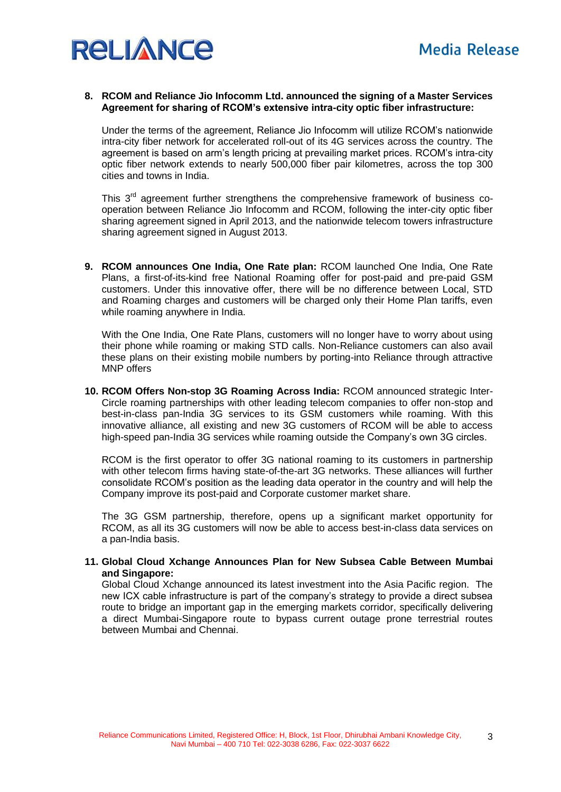

#### **8. RCOM and Reliance Jio Infocomm Ltd. announced the signing of a Master Services Agreement for sharing of RCOM's extensive intra-city optic fiber infrastructure:**

Under the terms of the agreement, Reliance Jio Infocomm will utilize RCOM's nationwide intra-city fiber network for accelerated roll-out of its 4G services across the country. The agreement is based on arm's length pricing at prevailing market prices. RCOM's intra-city optic fiber network extends to nearly 500,000 fiber pair kilometres, across the top 300 cities and towns in India.

This 3<sup>rd</sup> agreement further strengthens the comprehensive framework of business cooperation between Reliance Jio Infocomm and RCOM, following the inter-city optic fiber sharing agreement signed in April 2013, and the nationwide telecom towers infrastructure sharing agreement signed in August 2013.

**9. RCOM announces One India, One Rate plan:** RCOM launched One India, One Rate Plans, a first-of-its-kind free National Roaming offer for post-paid and pre-paid GSM customers. Under this innovative offer, there will be no difference between Local, STD and Roaming charges and customers will be charged only their Home Plan tariffs, even while roaming anywhere in India.

With the One India, One Rate Plans, customers will no longer have to worry about using their phone while roaming or making STD calls. Non-Reliance customers can also avail these plans on their existing mobile numbers by porting-into Reliance through attractive MNP offers

**10. RCOM Offers Non-stop 3G Roaming Across India:** RCOM announced strategic Inter-Circle roaming partnerships with other leading telecom companies to offer non-stop and best-in-class pan-India 3G services to its GSM customers while roaming. With this innovative alliance, all existing and new 3G customers of RCOM will be able to access high-speed pan-India 3G services while roaming outside the Company's own 3G circles.

RCOM is the first operator to offer 3G national roaming to its customers in partnership with other telecom firms having state-of-the-art 3G networks. These alliances will further consolidate RCOM's position as the leading data operator in the country and will help the Company improve its post-paid and Corporate customer market share.

The 3G GSM partnership, therefore, opens up a significant market opportunity for RCOM, as all its 3G customers will now be able to access best-in-class data services on a pan-India basis.

#### **11. Global Cloud Xchange Announces Plan for New Subsea Cable Between Mumbai and Singapore:**

Global Cloud Xchange announced its latest investment into the Asia Pacific region. The new ICX cable infrastructure is part of the company's strategy to provide a direct subsea route to bridge an important gap in the emerging markets corridor, specifically delivering a direct Mumbai-Singapore route to bypass current outage prone terrestrial routes between Mumbai and Chennai.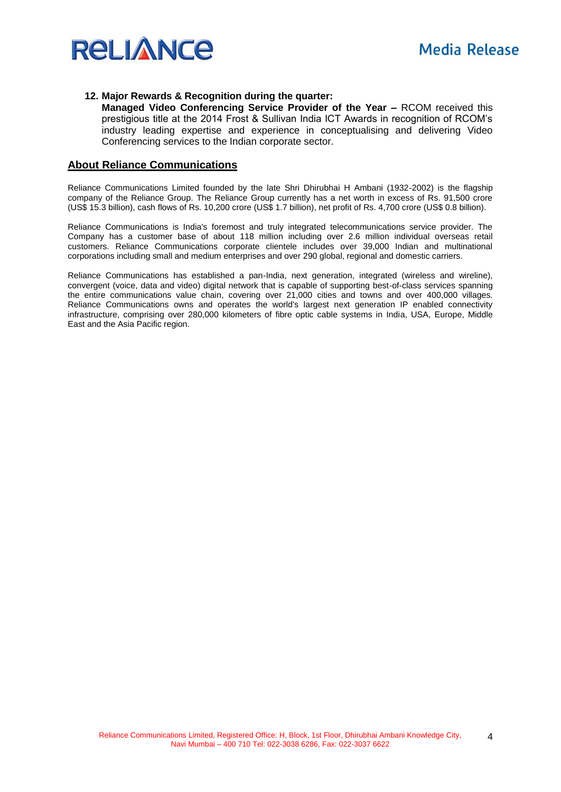

#### **12. Major Rewards & Recognition during the quarter:**

**Managed Video Conferencing Service Provider of the Year –** RCOM received this prestigious title at the 2014 Frost & Sullivan India ICT Awards in recognition of RCOM's industry leading expertise and experience in conceptualising and delivering Video Conferencing services to the Indian corporate sector.

#### **About Reliance Communications**

Reliance Communications Limited founded by the late Shri Dhirubhai H Ambani (1932-2002) is the flagship company of the Reliance Group. The Reliance Group currently has a net worth in excess of Rs. 91,500 crore (US\$ 15.3 billion), cash flows of Rs. 10,200 crore (US\$ 1.7 billion), net profit of Rs. 4,700 crore (US\$ 0.8 billion).

Reliance Communications is India's foremost and truly integrated telecommunications service provider. The Company has a customer base of about 118 million including over 2.6 million individual overseas retail customers. Reliance Communications corporate clientele includes over 39,000 Indian and multinational corporations including small and medium enterprises and over 290 global, regional and domestic carriers.

Reliance Communications has established a pan-India, next generation, integrated (wireless and wireline), convergent (voice, data and video) digital network that is capable of supporting best-of-class services spanning the entire communications value chain, covering over 21,000 cities and towns and over 400,000 villages. Reliance Communications owns and operates the world's largest next generation IP enabled connectivity infrastructure, comprising over 280,000 kilometers of fibre optic cable systems in India, USA, Europe, Middle East and the Asia Pacific region.